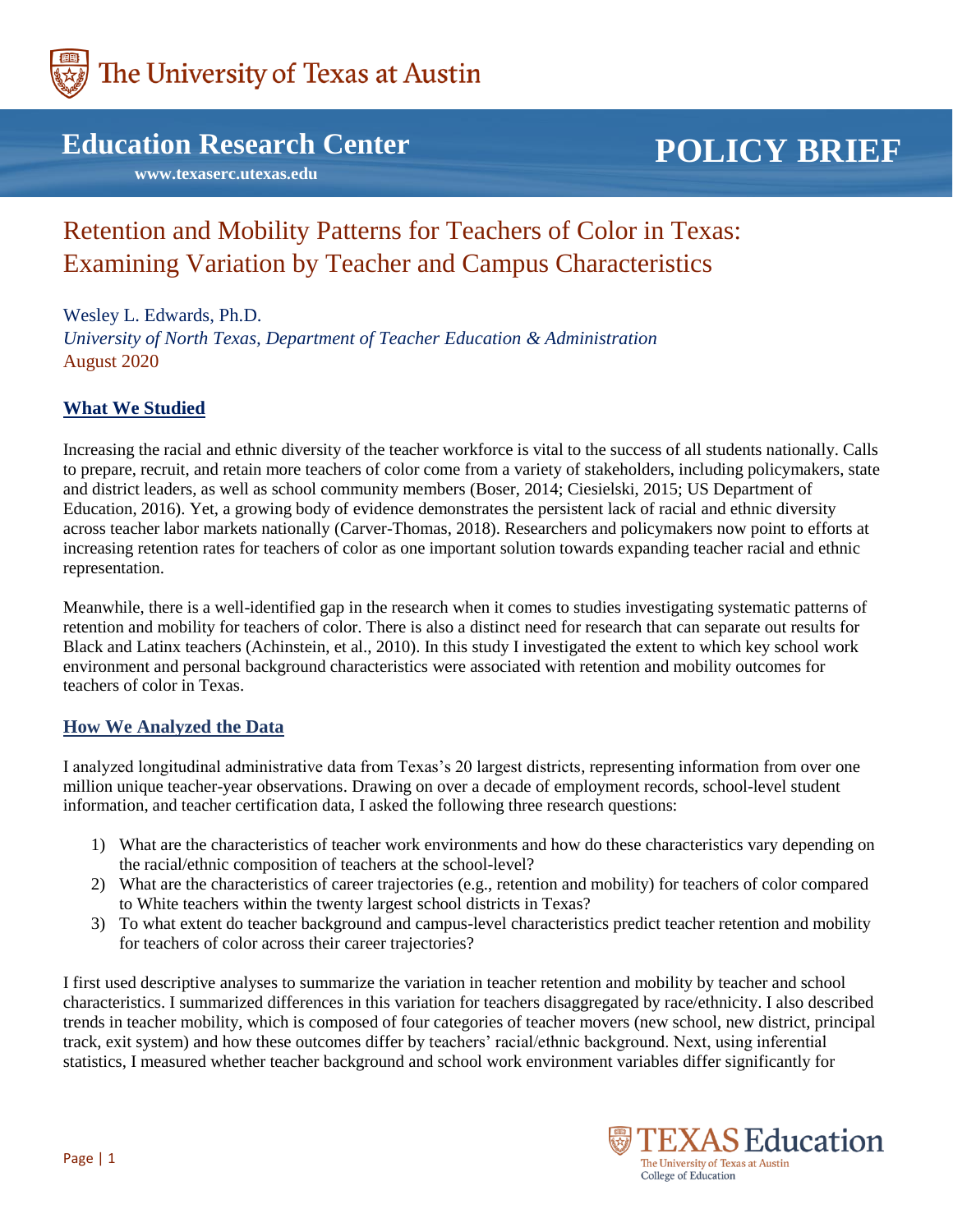

### **Education Research Center**

 **www.texaserc.utexas.edu**

# **POLICY BRIEF**

## Retention and Mobility Patterns for Teachers of Color in Texas: Examining Variation by Teacher and Campus Characteristics

Wesley L. Edwards, Ph.D. *University of North Texas, Department of Teacher Education & Administration* August 2020

#### **What We Studied**

Increasing the racial and ethnic diversity of the teacher workforce is vital to the success of all students nationally. Calls to prepare, recruit, and retain more teachers of color come from a variety of stakeholders, including policymakers, state and district leaders, as well as school community members (Boser, 2014; Ciesielski, 2015; US Department of Education, 2016). Yet, a growing body of evidence demonstrates the persistent lack of racial and ethnic diversity across teacher labor markets nationally (Carver-Thomas, 2018). Researchers and policymakers now point to efforts at increasing retention rates for teachers of color as one important solution towards expanding teacher racial and ethnic representation.

Meanwhile, there is a well-identified gap in the research when it comes to studies investigating systematic patterns of retention and mobility for teachers of color. There is also a distinct need for research that can separate out results for Black and Latinx teachers (Achinstein, et al., 2010). In this study I investigated the extent to which key school work environment and personal background characteristics were associated with retention and mobility outcomes for teachers of color in Texas.

#### **How We Analyzed the Data**

I analyzed longitudinal administrative data from Texas's 20 largest districts, representing information from over one million unique teacher-year observations. Drawing on over a decade of employment records, school-level student information, and teacher certification data, I asked the following three research questions:

- 1) What are the characteristics of teacher work environments and how do these characteristics vary depending on the racial/ethnic composition of teachers at the school-level?
- 2) What are the characteristics of career trajectories (e.g., retention and mobility) for teachers of color compared to White teachers within the twenty largest school districts in Texas?
- 3) To what extent do teacher background and campus-level characteristics predict teacher retention and mobility for teachers of color across their career trajectories?

I first used descriptive analyses to summarize the variation in teacher retention and mobility by teacher and school characteristics. I summarized differences in this variation for teachers disaggregated by race/ethnicity. I also described trends in teacher mobility, which is composed of four categories of teacher movers (new school, new district, principal track, exit system) and how these outcomes differ by teachers' racial/ethnic background. Next, using inferential statistics, I measured whether teacher background and school work environment variables differ significantly for

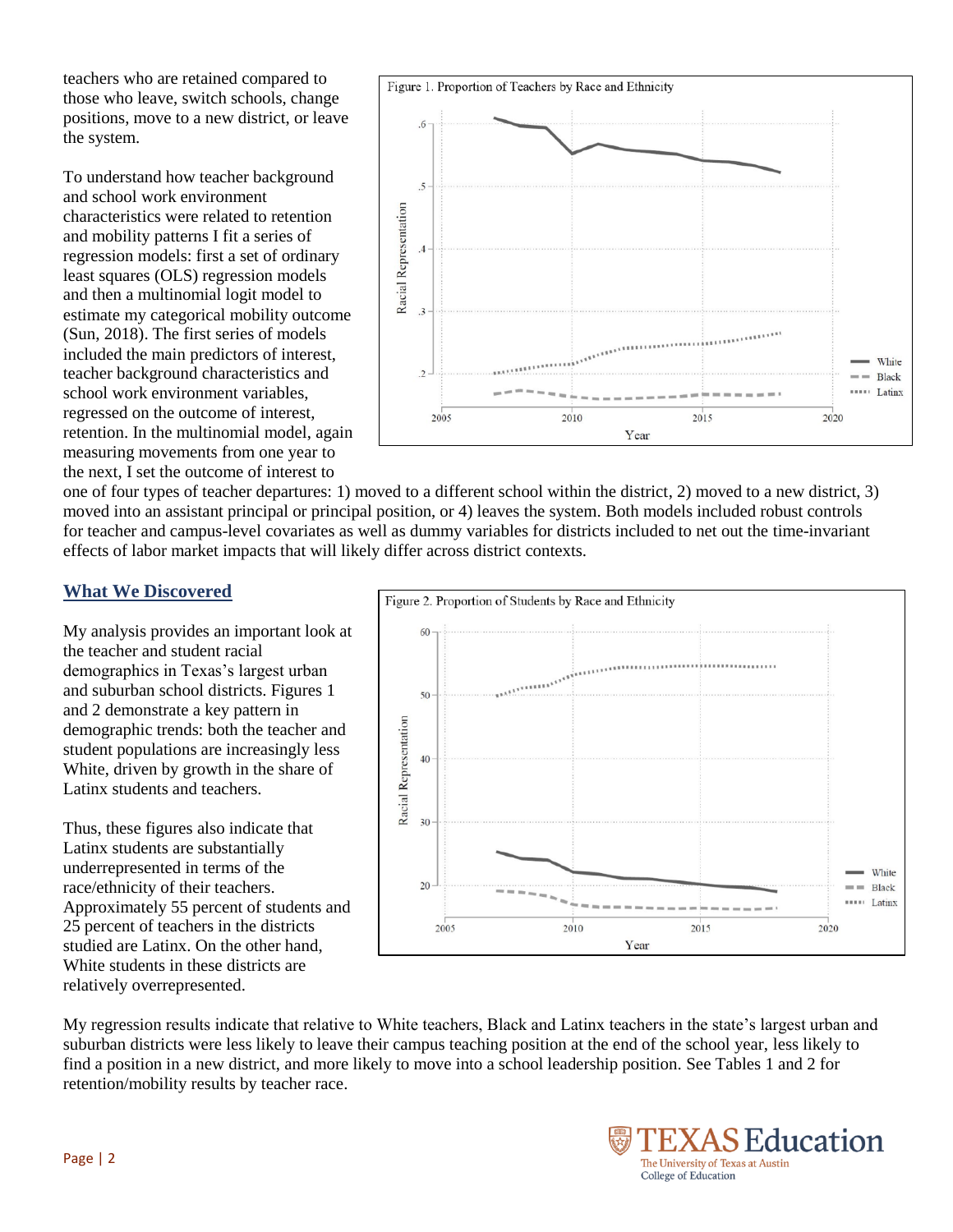teachers who are retained compared to those who leave, switch schools, change positions, move to a new district, or leave the system.

To understand how teacher background and school work environment characteristics were related to retention and mobility patterns I fit a series of regression models: first a set of ordinary least squares (OLS) regression models and then a multinomial logit model to estimate my categorical mobility outcome (Sun, 2018). The first series of models included the main predictors of interest, teacher background characteristics and school work environment variables, regressed on the outcome of interest, retention. In the multinomial model, again measuring movements from one year to the next, I set the outcome of interest to



one of four types of teacher departures: 1) moved to a different school within the district, 2) moved to a new district, 3) moved into an assistant principal or principal position, or 4) leaves the system. Both models included robust controls for teacher and campus-level covariates as well as dummy variables for districts included to net out the time-invariant effects of labor market impacts that will likely differ across district contexts.

#### **What We Discovered**

My analysis provides an important look at the teacher and student racial demographics in Texas's largest urban and suburban school districts. Figures 1 and 2 demonstrate a key pattern in demographic trends: both the teacher and student populations are increasingly less White, driven by growth in the share of Latinx students and teachers.

Thus, these figures also indicate that Latinx students are substantially underrepresented in terms of the race/ethnicity of their teachers. Approximately 55 percent of students and 25 percent of teachers in the districts studied are Latinx. On the other hand, White students in these districts are relatively overrepresented.



My regression results indicate that relative to White teachers, Black and Latinx teachers in the state's largest urban and suburban districts were less likely to leave their campus teaching position at the end of the school year, less likely to find a position in a new district, and more likely to move into a school leadership position. See Tables 1 and 2 for retention/mobility results by teacher race.

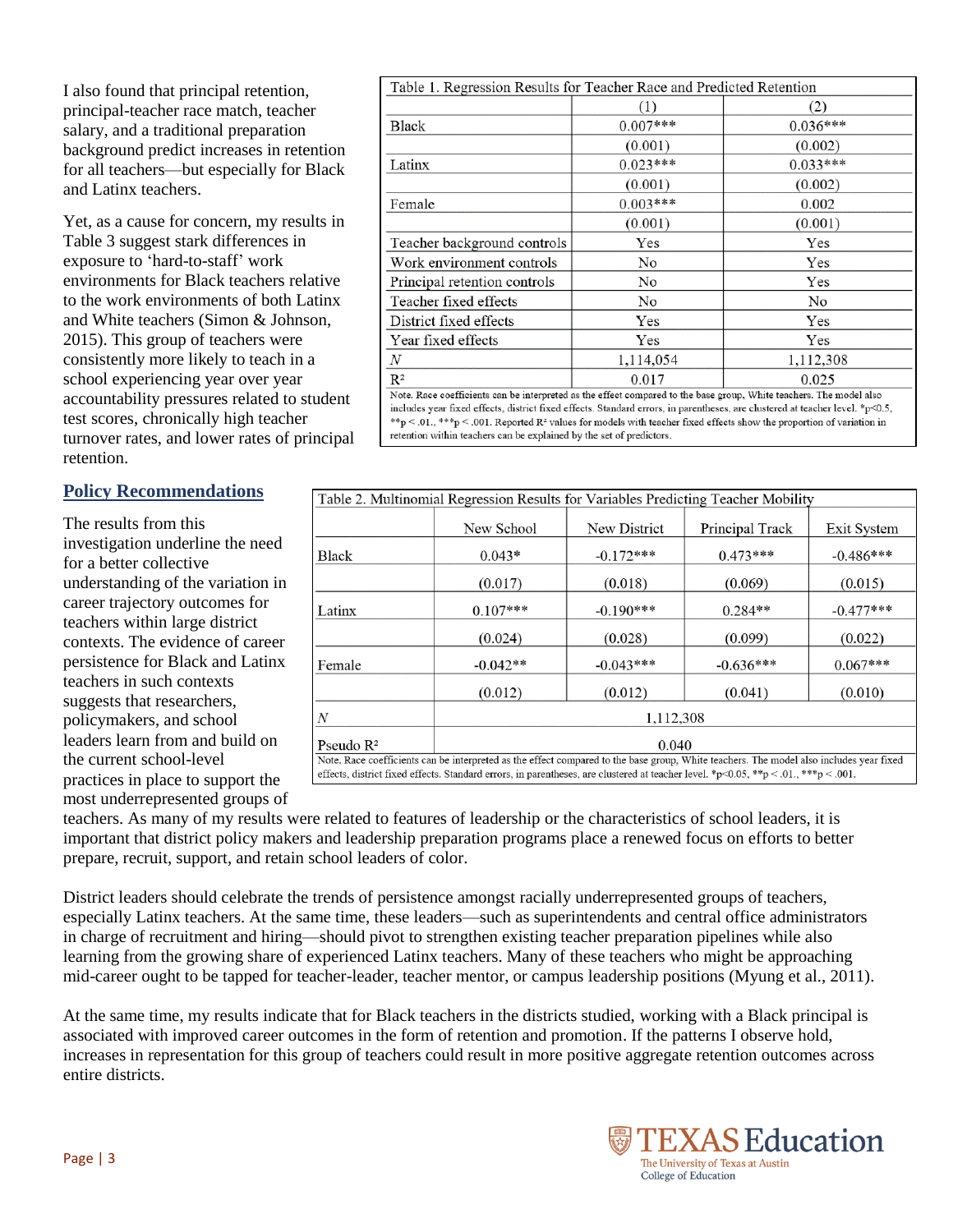I also found that principal retention, principal-teacher race match, teacher salary, and a traditional preparation background predict increases in retention for all teachers—but especially for Black and Latinx teachers.

Yet, as a cause for concern, my results in Table 3 suggest stark differences in exposure to 'hard-to-staff' work environments for Black teachers relative to the work environments of both Latinx and White teachers (Simon & Johnson, 2015). This group of teachers were consistently more likely to teach in a school experiencing year over year accountability pressures related to student test scores, chronically high teacher turnover rates, and lower rates of principal retention.

#### **Policy Recommendations**

The results from this investigation underline the need for a better collective understanding of the variation in career trajectory outcomes for teachers within large district contexts. The evidence of career persistence for Black and Latinx teachers in such contexts suggests that researchers, policymakers, and school leaders learn from and build on the current school-level practices in place to support the most underrepresented groups of

| Table 1. Regression Results for Teacher Race and Predicted Retention                                                                                                                                                                                                                                                                                                                                                                                                                                  |            |            |
|-------------------------------------------------------------------------------------------------------------------------------------------------------------------------------------------------------------------------------------------------------------------------------------------------------------------------------------------------------------------------------------------------------------------------------------------------------------------------------------------------------|------------|------------|
|                                                                                                                                                                                                                                                                                                                                                                                                                                                                                                       | (1)        | (2)        |
| Black                                                                                                                                                                                                                                                                                                                                                                                                                                                                                                 | $0.007***$ | $0.036***$ |
|                                                                                                                                                                                                                                                                                                                                                                                                                                                                                                       | (0.001)    | (0.002)    |
| Latinx                                                                                                                                                                                                                                                                                                                                                                                                                                                                                                | $0.023***$ | $0.033***$ |
|                                                                                                                                                                                                                                                                                                                                                                                                                                                                                                       | (0.001)    | (0.002)    |
| Female                                                                                                                                                                                                                                                                                                                                                                                                                                                                                                | $0.003***$ | 0.002      |
|                                                                                                                                                                                                                                                                                                                                                                                                                                                                                                       | (0.001)    | (0.001)    |
| Teacher background controls                                                                                                                                                                                                                                                                                                                                                                                                                                                                           | Yes        | Yes        |
| Work environment controls                                                                                                                                                                                                                                                                                                                                                                                                                                                                             | No         | Yes        |
| Principal retention controls                                                                                                                                                                                                                                                                                                                                                                                                                                                                          | No         | Yes        |
| Teacher fixed effects                                                                                                                                                                                                                                                                                                                                                                                                                                                                                 | No         | No         |
| District fixed effects                                                                                                                                                                                                                                                                                                                                                                                                                                                                                | Yes        | Yes        |
| Year fixed effects                                                                                                                                                                                                                                                                                                                                                                                                                                                                                    | Yes        | Yes        |
| N                                                                                                                                                                                                                                                                                                                                                                                                                                                                                                     | 1,114,054  | 1,112,308  |
| $\mathbb{R}^2$                                                                                                                                                                                                                                                                                                                                                                                                                                                                                        | 0.017      | 0.025      |
| Note. Race coefficients can be interpreted as the effect compared to the base group, White teachers. The model also<br>includes year fixed effects, district fixed effects. Standard errors, in parentheses, are clustered at teacher level. *p<0.5,<br>$\phi_1$ is a set $\phi_2$ is a set $\pi$ . The set $\pi$ is a set of $\pi$ is a set of $\pi$ is a set of $\pi$ is a set of $\pi$ is a set of $\pi$ is a set of $\pi$ is a set of $\pi$ is a set of $\pi$ is a set of $\pi$ is a set of $\pi$ |            |            |

 $*_p$  < .01,  $**_p$  < .001. Reported R<sup>2</sup> values for models with teacher fixed effects show the proportion of variation in retention within teachers can be explained by the set of predictors.

| Table 2. Multinomial Regression Results for Variables Predicting Teacher Mobility                                                                                                                                                                                              |            |              |                 |             |  |  |
|--------------------------------------------------------------------------------------------------------------------------------------------------------------------------------------------------------------------------------------------------------------------------------|------------|--------------|-----------------|-------------|--|--|
|                                                                                                                                                                                                                                                                                | New School | New District | Principal Track | Exit System |  |  |
| Black                                                                                                                                                                                                                                                                          | $0.043*$   | $-0.172***$  | $0.473***$      | $-0.486***$ |  |  |
|                                                                                                                                                                                                                                                                                | (0.017)    | (0.018)      | (0.069)         | (0.015)     |  |  |
| Latinx                                                                                                                                                                                                                                                                         | $0.107***$ | $-0.190***$  | $0.284**$       | $-0.477***$ |  |  |
|                                                                                                                                                                                                                                                                                | (0.024)    | (0.028)      | (0.099)         | (0.022)     |  |  |
| Female                                                                                                                                                                                                                                                                         | $-0.042**$ | $-0.043***$  | $-0.636***$     | $0.067***$  |  |  |
|                                                                                                                                                                                                                                                                                | (0.012)    | (0.012)      | (0.041)         | (0.010)     |  |  |
| N                                                                                                                                                                                                                                                                              | 1,112,308  |              |                 |             |  |  |
| Pseudo $R^2$                                                                                                                                                                                                                                                                   | 0.040      |              |                 |             |  |  |
| Note. Race coefficients can be interpreted as the effect compared to the base group, White teachers. The model also includes year fixed<br>effects, district fixed effects. Standard errors, in parentheses, are clustered at teacher level. *p<0.05, **p < 0.01, ***p < 0.01. |            |              |                 |             |  |  |

teachers. As many of my results were related to features of leadership or the characteristics of school leaders, it is important that district policy makers and leadership preparation programs place a renewed focus on efforts to better prepare, recruit, support, and retain school leaders of color.

District leaders should celebrate the trends of persistence amongst racially underrepresented groups of teachers, especially Latinx teachers. At the same time, these leaders—such as superintendents and central office administrators in charge of recruitment and hiring—should pivot to strengthen existing teacher preparation pipelines while also learning from the growing share of experienced Latinx teachers. Many of these teachers who might be approaching mid-career ought to be tapped for teacher-leader, teacher mentor, or campus leadership positions (Myung et al., 2011).

At the same time, my results indicate that for Black teachers in the districts studied, working with a Black principal is associated with improved career outcomes in the form of retention and promotion. If the patterns I observe hold, increases in representation for this group of teachers could result in more positive aggregate retention outcomes across entire districts.